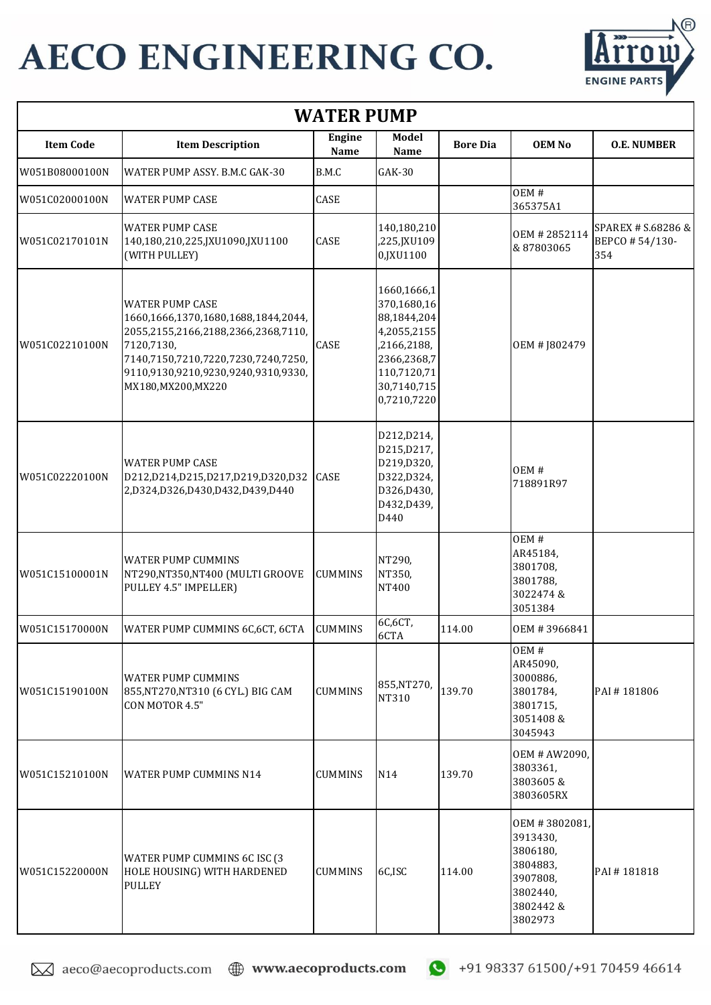

| <b>WATER PUMP</b> |                                                                                                                                                                                                                         |                       |                                                                                                                                     |                 |                                                                                                   |                                             |  |  |
|-------------------|-------------------------------------------------------------------------------------------------------------------------------------------------------------------------------------------------------------------------|-----------------------|-------------------------------------------------------------------------------------------------------------------------------------|-----------------|---------------------------------------------------------------------------------------------------|---------------------------------------------|--|--|
| <b>Item Code</b>  | <b>Item Description</b>                                                                                                                                                                                                 | <b>Engine</b><br>Name | Model<br>Name                                                                                                                       | <b>Bore Dia</b> | <b>OEM No</b>                                                                                     | <b>O.E. NUMBER</b>                          |  |  |
| W051B08000100N    | WATER PUMP ASSY. B.M.C GAK-30                                                                                                                                                                                           | B.M.C                 | GAK-30                                                                                                                              |                 |                                                                                                   |                                             |  |  |
| W051C02000100N    | <b>WATER PUMP CASE</b>                                                                                                                                                                                                  | CASE                  |                                                                                                                                     |                 | OEM#<br>365375A1                                                                                  |                                             |  |  |
| W051C02170101N    | <b>WATER PUMP CASE</b><br>140,180,210,225,JXU1090,JXU1100<br>(WITH PULLEY)                                                                                                                                              | CASE                  | 140,180,210<br>,225,JXU109<br>0,JXU1100                                                                                             |                 | OEM #2852114<br>&87803065                                                                         | SPAREX # S.68286 &<br>BEPCO #54/130-<br>354 |  |  |
| W051C02210100N    | <b>WATER PUMP CASE</b><br>1660,1666,1370,1680,1688,1844,2044,<br>2055,2155,2166,2188,2366,2368,7110,<br>7120,7130,<br>7140,7150,7210,7220,7230,7240,7250,<br>9110,9130,9210,9230,9240,9310,9330,<br>MX180, MX200, MX220 | CASE                  | 1660,1666,1<br>370,1680,16<br>88,1844,204<br>4,2055,2155<br>,2166,2188,<br>2366,2368,7<br>110,7120,71<br>30,7140,715<br>0,7210,7220 |                 | OEM # J802479                                                                                     |                                             |  |  |
| W051C02220100N    | <b>WATER PUMP CASE</b><br>D212,D214,D215,D217,D219,D320,D32<br>2,D324,D326,D430,D432,D439,D440                                                                                                                          | <b>CASE</b>           | D212, D214,<br>D215, D217,<br>D219,D320,<br>D322,D324,<br>D326,D430,<br>D432, D439,<br>D440                                         |                 | OEM#<br>718891R97                                                                                 |                                             |  |  |
| W051C15100001N    | <b>WATER PUMP CUMMINS</b><br>NT290, NT350, NT400 (MULTI GROOVE<br>PULLEY 4.5" IMPELLER)                                                                                                                                 | <b>CUMMINS</b>        | NT290,<br>NT350,<br>NT400                                                                                                           |                 | OEM#<br>AR45184,<br>3801708,<br>3801788,<br>3022474&<br>3051384                                   |                                             |  |  |
| W051C15170000N    | WATER PUMP CUMMINS 6C,6CT, 6CTA                                                                                                                                                                                         | <b>CUMMINS</b>        | 6C,6CT,<br>6CTA                                                                                                                     | 114.00          | OEM #3966841                                                                                      |                                             |  |  |
| W051C15190100N    | <b>WATER PUMP CUMMINS</b><br>855, NT270, NT310 (6 CYL.) BIG CAM<br>CON MOTOR 4.5"                                                                                                                                       | <b>CUMMINS</b>        | 855, NT270,<br>NT310                                                                                                                | 139.70          | OEM#<br>AR45090,<br>3000886,<br>3801784,<br>3801715,<br>3051408 &<br>3045943                      | PAI#181806                                  |  |  |
| W051C15210100N    | <b>WATER PUMP CUMMINS N14</b>                                                                                                                                                                                           | <b>CUMMINS</b>        | N14                                                                                                                                 | 139.70          | OEM # AW2090,<br>3803361,<br>3803605 &<br>3803605RX                                               |                                             |  |  |
| W051C15220000N    | WATER PUMP CUMMINS 6C ISC (3<br>HOLE HOUSING) WITH HARDENED<br><b>PULLEY</b>                                                                                                                                            | <b>CUMMINS</b>        | 6C,ISC                                                                                                                              | 114.00          | OEM #3802081,<br>3913430,<br>3806180,<br>3804883,<br>3907808,<br>3802440,<br>3802442 &<br>3802973 | PAI#181818                                  |  |  |

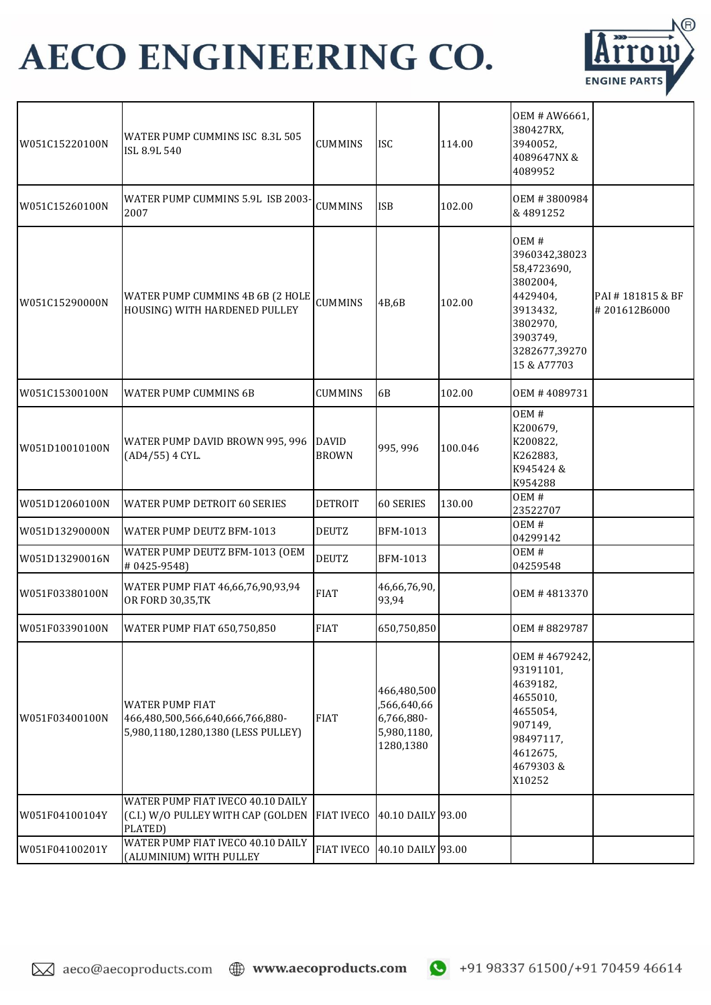

| W051C15220100N | WATER PUMP CUMMINS ISC 8.3L 505<br>ISL 8.9L 540                                                  | <b>CUMMINS</b>               | <b>ISC</b>                                                           | 114.00  | OEM # AW6661,<br>380427RX,<br>3940052,<br>4089647NX &<br>4089952                                                                 |                               |
|----------------|--------------------------------------------------------------------------------------------------|------------------------------|----------------------------------------------------------------------|---------|----------------------------------------------------------------------------------------------------------------------------------|-------------------------------|
| W051C15260100N | WATER PUMP CUMMINS 5.9L ISB 2003-<br>2007                                                        | <b>CUMMINS</b>               | <b>ISB</b>                                                           | 102.00  | OEM #3800984<br>& 4891252                                                                                                        |                               |
| W051C15290000N | WATER PUMP CUMMINS 4B 6B (2 HOLE<br>HOUSING) WITH HARDENED PULLEY                                | <b>CUMMINS</b>               | 4B,6B                                                                | 102.00  | OEM#<br>3960342,38023<br>58,4723690,<br>3802004,<br>4429404,<br>3913432,<br>3802970,<br>3903749,<br>3282677,39270<br>15 & A77703 | PAI#181815&BF<br>#201612B6000 |
| W051C15300100N | <b>WATER PUMP CUMMINS 6B</b>                                                                     | <b>CUMMINS</b>               | 6B                                                                   | 102.00  | OEM #4089731                                                                                                                     |                               |
| W051D10010100N | WATER PUMP DAVID BROWN 995, 996<br>(AD4/55) 4 CYL.                                               | <b>DAVID</b><br><b>BROWN</b> | 995, 996                                                             | 100.046 | OEM#<br>K200679,<br>K200822,<br>K262883,<br>K945424 &<br>K954288                                                                 |                               |
| W051D12060100N | <b>WATER PUMP DETROIT 60 SERIES</b>                                                              | <b>DETROIT</b>               | 60 SERIES                                                            | 130.00  | OEM#<br>23522707                                                                                                                 |                               |
| W051D13290000N | <b>WATER PUMP DEUTZ BFM-1013</b>                                                                 | <b>DEUTZ</b>                 | BFM-1013                                                             |         | OEM#<br>04299142                                                                                                                 |                               |
| W051D13290016N | WATER PUMP DEUTZ BFM-1013 (OEM<br>#0425-9548)                                                    | <b>DEUTZ</b>                 | BFM-1013                                                             |         | OEM#<br>04259548                                                                                                                 |                               |
| W051F03380100N | WATER PUMP FIAT 46,66,76,90,93,94<br>OR FORD 30,35,TK                                            | <b>FIAT</b>                  | 46,66,76,90,<br>93,94                                                |         | OEM #4813370                                                                                                                     |                               |
| W051F03390100N | <b>WATER PUMP FIAT 650,750,850</b>                                                               | <b>FIAT</b>                  | 650,750,850                                                          |         | OEM #8829787                                                                                                                     |                               |
| W051F03400100N | <b>WATER PUMP FIAT</b><br>466,480,500,566,640,666,766,880-<br>5,980,1180,1280,1380 (LESS PULLEY) | <b>FIAT</b>                  | 466,480,500<br>,566,640,66<br>6,766,880-<br>5,980,1180,<br>1280,1380 |         | OEM #4679242,<br>93191101,<br>4639182,<br>4655010,<br>4655054,<br>907149,<br>98497117,<br>4612675,<br>4679303&<br>X10252         |                               |
| W051F04100104Y | WATER PUMP FIAT IVECO 40.10 DAILY<br>(C.I.) W/O PULLEY WITH CAP (GOLDEN<br>PLATED)               | <b>FIAT IVECO</b>            | 40.10 DAILY 93.00                                                    |         |                                                                                                                                  |                               |
| W051F04100201Y | WATER PUMP FIAT IVECO 40.10 DAILY<br>(ALUMINIUM) WITH PULLEY                                     | <b>FIAT IVECO</b>            | 40.10 DAILY 93.00                                                    |         |                                                                                                                                  |                               |

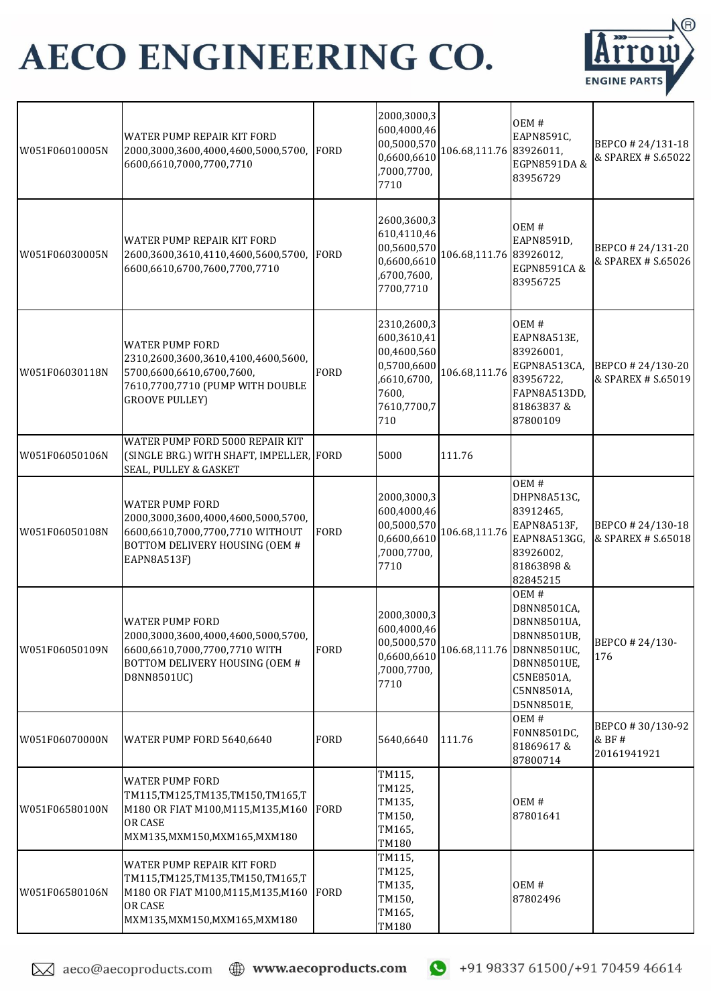

| W051F06010005N | WATER PUMP REPAIR KIT FORD<br>2000,3000,3600,4000,4600,5000,5700,<br>6600,6610,7000,7700,7710                                                           | <b>FORD</b> | 2000,3000,3<br>600,4000,46<br>00,5000,570<br>0,6600,6610<br>,7000,7700,<br>7710                        | 106.68,111.76 83926011, | OEM#<br>EAPN8591C,<br>EGPN8591DA&<br>83956729                                                                                           | BEPCO #24/131-18<br>& SPAREX # S.65022    |
|----------------|---------------------------------------------------------------------------------------------------------------------------------------------------------|-------------|--------------------------------------------------------------------------------------------------------|-------------------------|-----------------------------------------------------------------------------------------------------------------------------------------|-------------------------------------------|
| W051F06030005N | WATER PUMP REPAIR KIT FORD<br>2600,3600,3610,4110,4600,5600,5700,<br>6600,6610,6700,7600,7700,7710                                                      | <b>FORD</b> | 2600,3600,3<br>610,4110,46<br>00,5600,570<br>0,6600,6610<br>,6700,7600,<br>7700,7710                   | 106.68,111.76 83926012, | OEM#<br>EAPN8591D,<br>EGPN8591CA&<br>83956725                                                                                           | BEPCO #24/131-20<br>& SPAREX # \$.65026   |
| W051F06030118N | <b>WATER PUMP FORD</b><br>2310,2600,3600,3610,4100,4600,5600,<br>5700,6600,6610,6700,7600,<br>7610,7700,7710 (PUMP WITH DOUBLE<br><b>GROOVE PULLEY)</b> | <b>FORD</b> | 2310,2600,3<br>600,3610,41<br>00,4600,560<br>0,5700,6600<br>,6610,6700,<br>7600,<br>7610,7700,7<br>710 | 106.68,111.76           | OEM#<br>EAPN8A513E,<br>83926001,<br>EGPN8A513CA,<br>83956722,<br>FAPN8A513DD,<br>81863837&<br>87800109                                  | BEPCO #24/130-20<br>& SPAREX # S.65019    |
| W051F06050106N | WATER PUMP FORD 5000 REPAIR KIT<br>(SINGLE BRG.) WITH SHAFT, IMPELLER, FORD<br>SEAL, PULLEY & GASKET                                                    |             | 5000                                                                                                   | 111.76                  |                                                                                                                                         |                                           |
| W051F06050108N | <b>WATER PUMP FORD</b><br>2000,3000,3600,4000,4600,5000,5700,<br>6600,6610,7000,7700,7710 WITHOUT<br>BOTTOM DELIVERY HOUSING (OEM #<br>EAPN8A513F)      | <b>FORD</b> | 2000,3000,3<br>600,4000,46<br>00,5000,570<br>0,6600,6610<br>,7000,7700,<br>7710                        | 106.68,111.76           | OEM#<br>DHPN8A513C,<br>83912465,<br>EAPN8A513F,<br>EAPN8A513GG,<br>83926002,<br>81863898&<br>82845215                                   | BEPCO #24/130-18<br>& SPAREX # S.65018    |
| W051F06050109N | <b>WATER PUMP FORD</b><br>2000,3000,3600,4000,4600,5000,5700,<br>6600,6610,7000,7700,7710 WITH<br>BOTTOM DELIVERY HOUSING (OEM #<br>D8NN8501UC)         | <b>FORD</b> | 2000,3000,3<br>600,4000,46<br>00,5000,570<br>0,6600,6610<br>,7000,7700,<br>7710                        |                         | OEM#<br>D8NN8501CA,<br>D8NN8501UA,<br>D8NN8501UB,<br>106.68,111.76 D8NN8501UC,<br>D8NN8501UE,<br>C5NE8501A,<br>C5NN8501A,<br>D5NN8501E, | BEPCO #24/130-<br>176                     |
| W051F06070000N | WATER PUMP FORD 5640,6640                                                                                                                               | <b>FORD</b> | 5640,6640                                                                                              | 111.76                  | OEM#<br>F0NN8501DC,<br>81869617&<br>87800714                                                                                            | BEPCO #30/130-92<br>& BF #<br>20161941921 |
| W051F06580100N | <b>WATER PUMP FORD</b><br>TM115,TM125,TM135,TM150,TM165,T<br>M180 OR FIAT M100, M115, M135, M160<br>OR CASE<br>MXM135, MXM150, MXM165, MXM180           | FORD        | TM115,<br>TM125,<br>TM135,<br>TM150,<br>TM165,<br>TM180                                                |                         | OEM#<br>87801641                                                                                                                        |                                           |
| W051F06580106N | WATER PUMP REPAIR KIT FORD<br>TM115,TM125,TM135,TM150,TM165,T<br>M180 OR FIAT M100, M115, M135, M160<br>OR CASE<br>MXM135, MXM150, MXM165, MXM180       | FORD        | TM115,<br>TM125,<br>TM135,<br>TM150,<br>TM165,<br>TM180                                                |                         | OEM#<br>87802496                                                                                                                        |                                           |

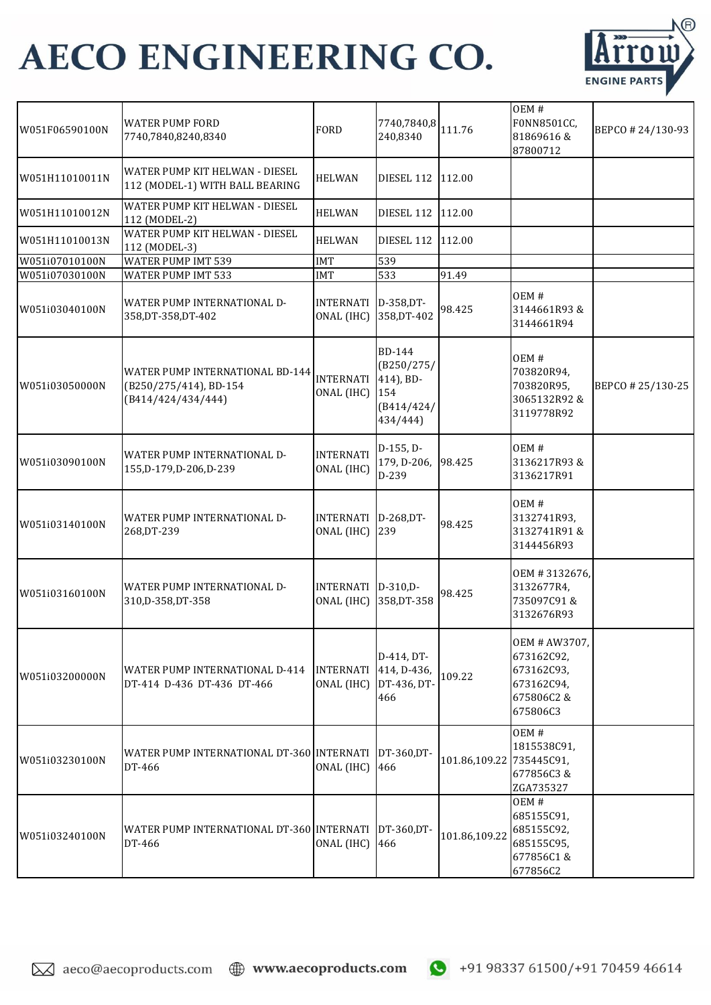

| W051F06590100N | <b>WATER PUMP FORD</b><br>7740,7840,8240,8340                                   | <b>FORD</b>                    | $7740,7840,8$ 111.76<br>240,8340                                   |                          | OEM#<br>F0NN8501CC,<br>81869616&<br>87800712                                     | BEPCO #24/130-93  |
|----------------|---------------------------------------------------------------------------------|--------------------------------|--------------------------------------------------------------------|--------------------------|----------------------------------------------------------------------------------|-------------------|
| W051H11010011N | WATER PUMP KIT HELWAN - DIESEL<br>112 (MODEL-1) WITH BALL BEARING               | <b>HELWAN</b>                  | DIESEL 112                                                         | 112.00                   |                                                                                  |                   |
| W051H11010012N | WATER PUMP KIT HELWAN - DIESEL<br>112 (MODEL-2)                                 | <b>HELWAN</b>                  | DIESEL 112                                                         | 112.00                   |                                                                                  |                   |
| W051H11010013N | WATER PUMP KIT HELWAN - DIESEL<br>112 (MODEL-3)                                 | <b>HELWAN</b>                  | DIESEL 112                                                         | 112.00                   |                                                                                  |                   |
| W051i07010100N | WATER PUMP IMT 539                                                              | <b>IMT</b>                     | 539                                                                |                          |                                                                                  |                   |
| W051i07030100N | WATER PUMP IMT 533                                                              | <b>IMT</b>                     | 533                                                                | 91.49                    |                                                                                  |                   |
| W051i03040100N | WATER PUMP INTERNATIONAL D-<br>358, DT-358, DT-402                              | <b>INTERNATI</b><br>ONAL (IHC) | D-358, DT-<br>358, DT-402                                          | 98.425                   | OEM#<br>3144661R93&<br>3144661R94                                                |                   |
| W051i03050000N | WATER PUMP INTERNATIONAL BD-144<br>(B250/275/414), BD-154<br>(B414/424/434/444) | <b>INTERNATI</b><br>ONAL (IHC) | BD-144<br>(B250/275/<br>414), BD-<br>154<br>(B414/424/<br>434/444) |                          | OEM#<br>703820R94,<br>703820R95,<br>3065132R92 &<br>3119778R92                   | BEPCO # 25/130-25 |
| W051i03090100N | WATER PUMP INTERNATIONAL D-<br>155, D-179, D-206, D-239                         | <b>INTERNATI</b><br>ONAL (IHC) | $D-155, D-$<br>179, D-206,<br>D-239                                | 98.425                   | OEM#<br>3136217R93&<br>3136217R91                                                |                   |
| W051i03140100N | WATER PUMP INTERNATIONAL D-<br>268, DT-239                                      | <b>INTERNATI</b><br>ONAL (IHC) | D-268, DT-<br>239                                                  | 98.425                   | OEM#<br>3132741R93,<br>3132741R91&<br>3144456R93                                 |                   |
| W051i03160100N | WATER PUMP INTERNATIONAL D-<br>310, D-358, DT-358                               | <b>INTERNATI</b><br>ONAL (IHC) | $D-310.D-$<br>358, DT-358                                          | 98.425                   | OEM #3132676,<br>3132677R4,<br>735097C91&<br>3132676R93                          |                   |
| W051i03200000N | WATER PUMP INTERNATIONAL D-414<br>DT-414 D-436 DT-436 DT-466                    | <b>INTERNATI</b><br>ONAL (IHC) | D-414, DT-<br>414, D-436,<br>DT-436, DT-<br>466                    | 109.22                   | OEM # AW3707,<br>673162C92,<br>673162C93,<br>673162C94,<br>675806C2&<br>675806C3 |                   |
| W051i03230100N | WATER PUMP INTERNATIONAL DT-360 INTERNATI<br>DT-466                             | ONAL (IHC)                     | DT-360.DT-<br>466                                                  | 101.86,109.22 735445C91, | OEM#<br>1815538C91,<br>677856C3&<br>ZGA735327                                    |                   |
| W051i03240100N | WATER PUMP INTERNATIONAL DT-360 INTERNATI<br>DT-466                             | ONAL (IHC)                     | DT-360, DT-<br>466                                                 | 101.86,109.22            | OEM#<br>685155C91,<br>685155C92,<br>685155C95,<br>677856C1&<br>677856C2          |                   |

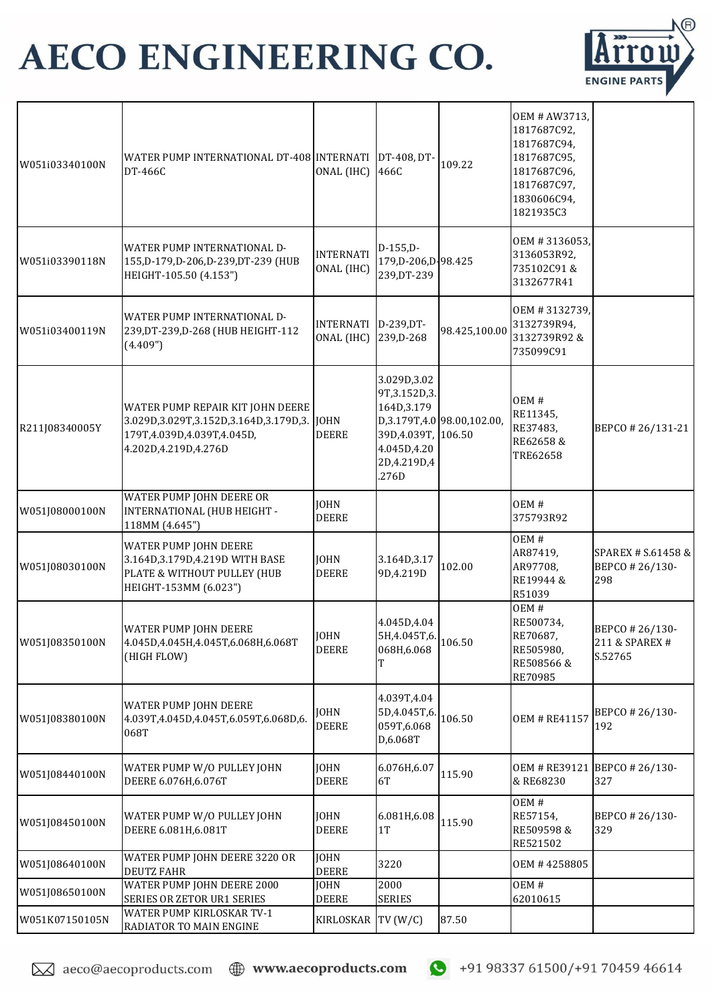

| W051i03340100N | WATER PUMP INTERNATIONAL DT-408 INTERNATI<br>DT-466C                                                                                        | ONAL (IHC)                     | DT-408, DT-<br>466C                                                                                     | 109.22                               | OEM # AW3713,<br>1817687C92,<br>1817687C94,<br>1817687C95,<br>1817687C96,<br>1817687C97,<br>1830606C94,<br>1821935C3 |                                             |
|----------------|---------------------------------------------------------------------------------------------------------------------------------------------|--------------------------------|---------------------------------------------------------------------------------------------------------|--------------------------------------|----------------------------------------------------------------------------------------------------------------------|---------------------------------------------|
| W051i03390118N | WATER PUMP INTERNATIONAL D-<br>155, D-179, D-206, D-239, DT-239 (HUB<br>HEIGHT-105.50 (4.153")                                              | <b>INTERNATI</b><br>ONAL (IHC) | $D-155,D-$<br>179, D-206, D-98.425<br>239, DT-239                                                       |                                      | OEM #3136053,<br>3136053R92,<br>735102C91&<br>3132677R41                                                             |                                             |
| W051i03400119N | WATER PUMP INTERNATIONAL D-<br>239, DT-239, D-268 (HUB HEIGHT-112<br>(4.409")                                                               | <b>INTERNATI</b><br>ONAL (IHC) | D-239, DT-<br>239, D-268                                                                                | 98.425,100.00                        | OEM #3132739,<br>3132739R94,<br>3132739R92&<br>735099C91                                                             |                                             |
| R211J08340005Y | WATER PUMP REPAIR KIT JOHN DEERE<br>3.029D, 3.029T, 3.152D, 3.164D, 3.179D, 3. JOHN<br>179T,4.039D,4.039T,4.045D,<br>4.202D, 4.219D, 4.276D | <b>DEERE</b>                   | 3.029D, 3.02<br>9T, 3.152D, 3.<br>164D, 3.179<br>39D, 4.039T,<br>4.045D, 4.20<br>2D, 4.219D, 4<br>.276D | D,3.179T,4.0 98.00,102.00,<br>106.50 | OEM#<br>RE11345,<br>RE37483,<br>RE62658 &<br>TRE62658                                                                | BEPCO #26/131-21                            |
| W051J08000100N | WATER PUMP JOHN DEERE OR<br>INTERNATIONAL (HUB HEIGHT -<br>118MM (4.645")                                                                   | <b>JOHN</b><br>DEERE           |                                                                                                         |                                      | OEM#<br>375793R92                                                                                                    |                                             |
| W051J08030100N | WATER PUMP JOHN DEERE<br>3.164D, 3.179D, 4.219D WITH BASE<br>PLATE & WITHOUT PULLEY (HUB<br>HEIGHT-153MM (6.023")                           | <b>JOHN</b><br><b>DEERE</b>    | 3.164D, 3.17<br>9D,4.219D                                                                               | 102.00                               | OEM#<br>AR87419,<br>AR97708,<br>RE19944 &<br>R51039                                                                  | SPAREX # S.61458 &<br>BEPCO #26/130-<br>298 |
| W051J08350100N | WATER PUMP JOHN DEERE<br>4.045D,4.045H,4.045T,6.068H,6.068T<br>(HIGH FLOW)                                                                  | <b>JOHN</b><br><b>DEERE</b>    | 4.045D, 4.04<br>5H.4.045T.6.<br>068H,6.068                                                              | 106.50                               | OEM#<br>RE500734,<br>RE70687.<br>RE505980,<br>RE508566 &<br>RE70985                                                  | BEPCO #26/130-<br>211 & SPAREX #<br>S.52765 |
| W051J08380100N | WATER PUMP JOHN DEERE<br>4.039T,4.045D,4.045T,6.059T,6.068D,6.<br>068T                                                                      | JOHN<br><b>DEERE</b>           | 4.039T, 4.04<br>5D,4.045T,6.<br>059T,6.068<br>D,6.068T                                                  | 106.50                               | <b>OEM # RE41157</b>                                                                                                 | BEPCO # 26/130-<br>192                      |
| W051J08440100N | WATER PUMP W/O PULLEY JOHN<br>DEERE 6.076H, 6.076T                                                                                          | <b>JOHN</b><br><b>DEERE</b>    | 6.076H,6.07<br>6T                                                                                       | 115.90                               | <b>OEM # RE39121</b><br>& RE68230                                                                                    | BEPCO #26/130-<br>327                       |
| W051J08450100N | WATER PUMP W/O PULLEY JOHN<br>DEERE 6.081H, 6.081T                                                                                          | <b>JOHN</b><br><b>DEERE</b>    | 6.081H,6.08<br>1T                                                                                       | 115.90                               | OEM#<br>RE57154,<br>RE509598 &<br>RE521502                                                                           | BEPCO #26/130-<br>329                       |
| W051J08640100N | WATER PUMP JOHN DEERE 3220 OR<br><b>DEUTZ FAHR</b>                                                                                          | <b>JOHN</b><br><b>DEERE</b>    | 3220                                                                                                    |                                      | OEM #4258805                                                                                                         |                                             |
| W051J08650100N | WATER PUMP JOHN DEERE 2000<br>SERIES OR ZETOR UR1 SERIES                                                                                    | <b>JOHN</b><br><b>DEERE</b>    | 2000<br><b>SERIES</b>                                                                                   |                                      | OEM#<br>62010615                                                                                                     |                                             |
| W051K07150105N | WATER PUMP KIRLOSKAR TV-1<br>RADIATOR TO MAIN ENGINE                                                                                        | KIRLOSKAR                      | TV(W/C)                                                                                                 | 87.50                                |                                                                                                                      |                                             |

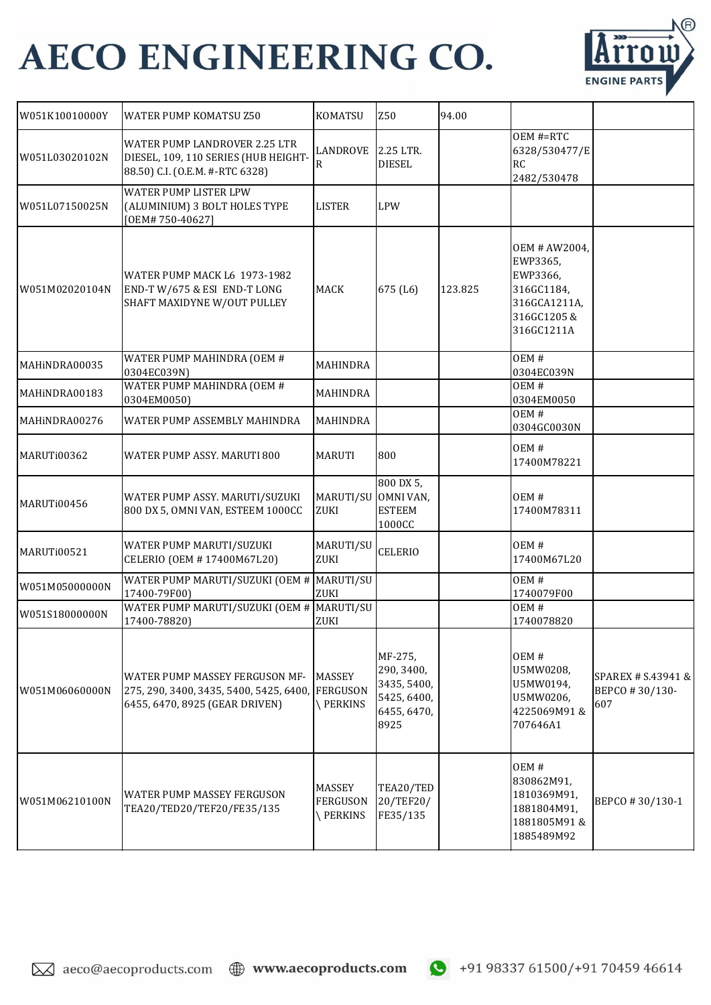

| W051K10010000Y | <b>WATER PUMP KOMATSU Z50</b>                                                                                               | <b>KOMATSU</b>                              | Z50                                                                        | 94.00   |                                                                                                 |                                             |
|----------------|-----------------------------------------------------------------------------------------------------------------------------|---------------------------------------------|----------------------------------------------------------------------------|---------|-------------------------------------------------------------------------------------------------|---------------------------------------------|
| W051L03020102N | WATER PUMP LANDROVER 2.25 LTR<br>DIESEL, 109, 110 SERIES (HUB HEIGHT-<br>88.50) C.I. (O.E.M. #-RTC 6328)                    | LANDROVE<br>R                               | 2.25 LTR.<br><b>DIESEL</b>                                                 |         | OEM #=RTC<br>6328/530477/E<br>RC<br>2482/530478                                                 |                                             |
| W051L07150025N | WATER PUMP LISTER LPW<br>(ALUMINIUM) 3 BOLT HOLES TYPE<br>[OEM#750-40627]                                                   | <b>LISTER</b>                               | <b>LPW</b>                                                                 |         |                                                                                                 |                                             |
| W051M02020104N | WATER PUMP MACK L6 1973-1982<br>END-T W/675 & ESI END-T LONG<br>SHAFT MAXIDYNE W/OUT PULLEY                                 | <b>MACK</b>                                 | 675 (L6)                                                                   | 123.825 | OEM # AW2004,<br>EWP3365,<br>EWP3366,<br>316GC1184,<br>316GCA1211A,<br>316GC1205&<br>316GC1211A |                                             |
| MAHINDRA00035  | WATER PUMP MAHINDRA (OEM #<br>0304EC039N)                                                                                   | MAHINDRA                                    |                                                                            |         | OEM#<br>0304EC039N                                                                              |                                             |
| MAHINDRA00183  | WATER PUMP MAHINDRA (OEM #<br>0304EM0050)                                                                                   | MAHINDRA                                    |                                                                            |         | OEM#<br>0304EM0050                                                                              |                                             |
| MAHINDRA00276  | WATER PUMP ASSEMBLY MAHINDRA                                                                                                | <b>MAHINDRA</b>                             |                                                                            |         | OEM#<br>0304GC0030N                                                                             |                                             |
| MARUTi00362    | WATER PUMP ASSY. MARUTI 800                                                                                                 | <b>MARUTI</b>                               | 800                                                                        |         | OEM#<br>17400M78221                                                                             |                                             |
| MARUTi00456    | WATER PUMP ASSY. MARUTI/SUZUKI<br>800 DX 5, OMNI VAN, ESTEEM 1000CC                                                         | MARUTI/SU<br>ZUKI                           | 800 DX 5,<br>OMNI VAN,<br><b>ESTEEM</b><br>1000CC                          |         | OEM#<br>17400M78311                                                                             |                                             |
| MARUTi00521    | WATER PUMP MARUTI/SUZUKI<br>CELERIO (OEM #17400M67L20)                                                                      | MARUTI/SU<br>ZUKI                           | <b>CELERIO</b>                                                             |         | OEM#<br>17400M67L20                                                                             |                                             |
| W051M05000000N | WATER PUMP MARUTI/SUZUKI (OEM # MARUTI/SU<br>17400-79F00)                                                                   | ZUKI                                        |                                                                            |         | OEM#<br>1740079F00                                                                              |                                             |
| W051S18000000N | WATER PUMP MARUTI/SUZUKI (OEM # MARUTI/SU<br>17400-78820)                                                                   | ZUKI                                        |                                                                            |         | OEM#<br>1740078820                                                                              |                                             |
| W051M06060000N | <b>WATER PUMP MASSEY FERGUSON MF-</b><br>275, 290, 3400, 3435, 5400, 5425, 6400, FERGUSON<br>6455, 6470, 8925 (GEAR DRIVEN) | <b>MASSEY</b><br><b>\PERKINS</b>            | MF-275,<br>290, 3400,<br>3435, 5400,<br>5425, 6400,<br>6455, 6470,<br>8925 |         | OEM#<br>U5MW0208,<br>U5MW0194,<br>U5MW0206,<br>4225069M91&<br>707646A1                          | SPAREX # S.43941 &<br>BEPCO #30/130-<br>607 |
| W051M06210100N | <b>WATER PUMP MASSEY FERGUSON</b><br>TEA20/TED20/TEF20/FE35/135                                                             | <b>MASSEY</b><br><b>FERGUSON</b><br>PERKINS | TEA20/TED<br>20/TEF20/<br>FE35/135                                         |         | OEM#<br>830862M91,<br>1810369M91,<br>1881804M91,<br>1881805M91&<br>1885489M92                   | BEPCO #30/130-1                             |

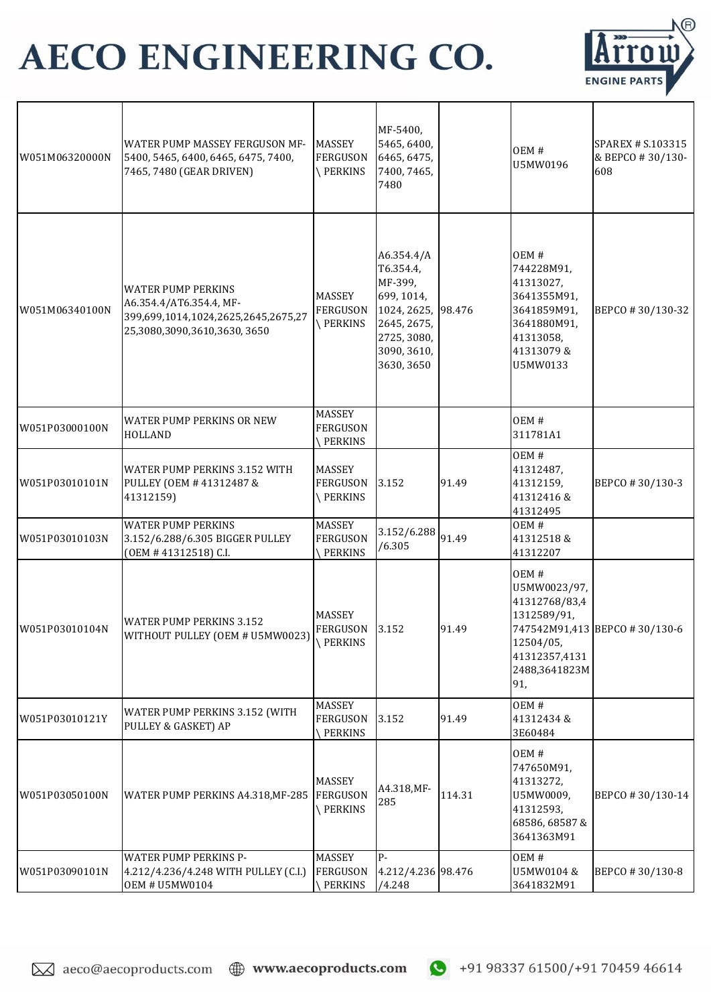

| W051M06320000N | WATER PUMP MASSEY FERGUSON MF-<br>5400, 5465, 6400, 6465, 6475, 7400,<br>7465, 7480 (GEAR DRIVEN)                           | <b>MASSEY</b><br><b>FERGUSON</b><br><b>\PERKINS</b> | MF-5400,<br>5465, 6400,<br>6465, 6475,<br>7400, 7465,<br>7480                                                                     |        | OEM#<br>U5MW0196                                                                                                    | SPAREX # S.103315<br>& BEPCO #30/130-<br>608 |
|----------------|-----------------------------------------------------------------------------------------------------------------------------|-----------------------------------------------------|-----------------------------------------------------------------------------------------------------------------------------------|--------|---------------------------------------------------------------------------------------------------------------------|----------------------------------------------|
| W051M06340100N | <b>WATER PUMP PERKINS</b><br>A6.354.4/AT6.354.4, MF-<br>399,699,1014,1024,2625,2645,2675,27<br>25,3080,3090,3610,3630, 3650 | <b>MASSEY</b><br><b>FERGUSON</b><br>PERKINS         | A6.354.4/A<br>T6.354.4,<br>MF-399,<br>699, 1014,<br>1024, 2625, 98.476<br>2645, 2675,<br>2725, 3080,<br>3090, 3610,<br>3630, 3650 |        | OEM#<br>744228M91,<br>41313027,<br>3641355M91,<br>3641859M91,<br>3641880M91,<br>41313058,<br>41313079 &<br>U5MW0133 | BEPCO #30/130-32                             |
| W051P03000100N | <b>WATER PUMP PERKINS OR NEW</b><br><b>HOLLAND</b>                                                                          | <b>MASSEY</b><br><b>FERGUSON</b><br>PERKINS         |                                                                                                                                   |        | OEM#<br>311781A1                                                                                                    |                                              |
| W051P03010101N | WATER PUMP PERKINS 3.152 WITH<br>PULLEY (OEM # 41312487 &<br>41312159)                                                      | <b>MASSEY</b><br><b>FERGUSON</b><br>PERKINS         | 3.152                                                                                                                             | 91.49  | OEM#<br>41312487,<br>41312159,<br>41312416&<br>41312495                                                             | BEPCO #30/130-3                              |
| W051P03010103N | <b>WATER PUMP PERKINS</b><br>3.152/6.288/6.305 BIGGER PULLEY<br>(OEM #41312518) C.I.                                        | <b>MASSEY</b><br><b>FERGUSON</b><br>PERKINS         | 3.152/6.288<br>/6.305                                                                                                             | 91.49  | OEM#<br>41312518&<br>41312207                                                                                       |                                              |
| W051P03010104N | <b>WATER PUMP PERKINS 3.152</b><br>WITHOUT PULLEY (OEM # U5MW0023)                                                          | <b>MASSEY</b><br><b>FERGUSON</b><br><b>\PERKINS</b> | 3.152                                                                                                                             | 91.49  | OEM#<br>U5MW0023/97,<br>41312768/83,4<br>1312589/91,<br>12504/05,<br>41312357,4131<br>2488,3641823M<br>91,          | 747542M91,413 BEPCO #30/130-6                |
| W051P03010121Y | WATER PUMP PERKINS 3.152 (WITH<br>PULLEY & GASKET) AP                                                                       | MASSEY<br><b>FERGUSON</b><br>PERKINS                | 3.152                                                                                                                             | 91.49  | OEM#<br>41312434 &<br>3E60484                                                                                       |                                              |
| W051P03050100N | WATER PUMP PERKINS A4.318, MF-285                                                                                           | <b>MASSEY</b><br>FERGUSON<br><b>\PERKINS</b>        | A4.318, MF-<br>285                                                                                                                | 114.31 | OEM#<br>747650M91,<br>41313272,<br>U5MW0009,<br>41312593,<br>68586, 68587 &<br>3641363M91                           | BEPCO #30/130-14                             |
| W051P03090101N | <b>WATER PUMP PERKINS P-</b><br>4.212/4.236/4.248 WITH PULLEY (C.I.)<br><b>OEM # U5MW0104</b>                               | <b>MASSEY</b><br><b>FERGUSON</b><br>PERKINS         | $P -$<br>4.212/4.236 98.476<br>/4.248                                                                                             |        | OEM#<br>U5MW0104 &<br>3641832M91                                                                                    | BEPCO #30/130-8                              |

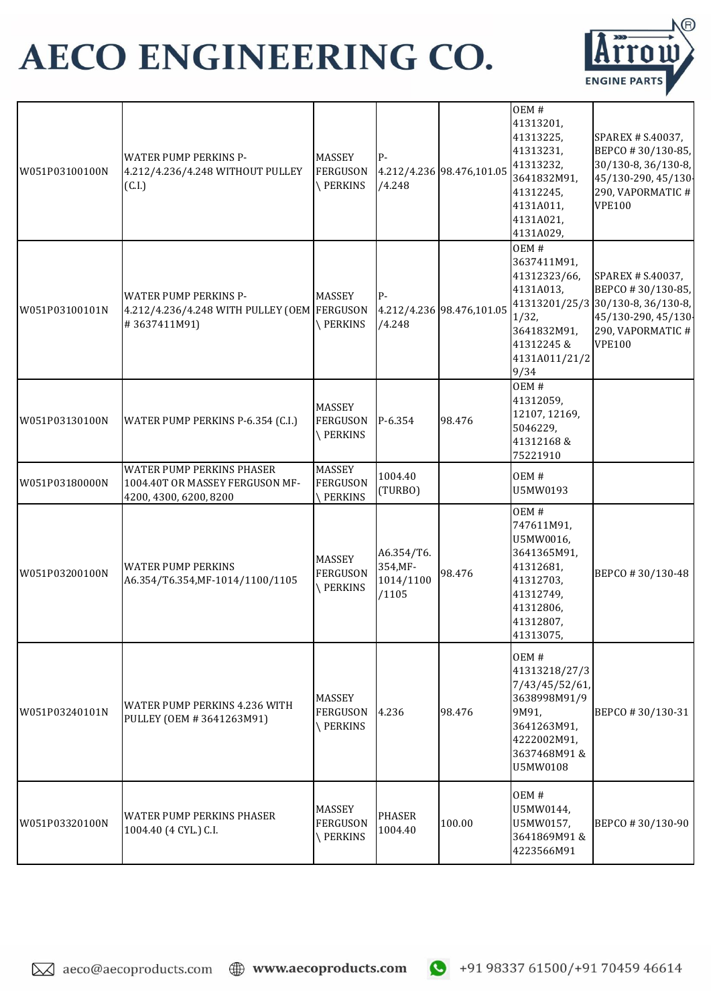

| W051P03100100N | <b>WATER PUMP PERKINS P-</b><br>4.212/4.236/4.248 WITHOUT PULLEY<br>(C.I.)                    | <b>MASSEY</b><br><b>FERGUSON</b><br>\PERKINS        | $P -$<br>/4.248                              | 4.212/4.236 98.476,101.05 | OEM#<br>41313201,<br>41313225,<br>41313231,<br>41313232,<br>3641832M91,<br>41312245,<br>4131A011,<br>4131A021,<br>4131A029,  | SPAREX # S.40037,<br>BEPCO #30/130-85,<br>30/130-8, 36/130-8,<br>45/130-290, 45/130<br>290, VAPORMATIC #<br><b>VPE100</b>               |
|----------------|-----------------------------------------------------------------------------------------------|-----------------------------------------------------|----------------------------------------------|---------------------------|------------------------------------------------------------------------------------------------------------------------------|-----------------------------------------------------------------------------------------------------------------------------------------|
| W051P03100101N | <b>WATER PUMP PERKINS P-</b><br>4.212/4.236/4.248 WITH PULLEY (OEM FERGUSON<br>#3637411M91)   | <b>MASSEY</b><br><b>PERKINS</b>                     | $P-$<br>/4.248                               | 4.212/4.236 98.476,101.05 | OEM#<br>3637411M91,<br>41312323/66,<br>4131A013,<br>1/32,<br>3641832M91,<br>41312245 &<br>4131A011/21/2<br>9/34              | SPAREX # S.40037,<br>BEPCO #30/130-85,<br>41313201/25/3 30/130-8, 36/130-8,<br>45/130-290, 45/130<br>290, VAPORMATIC #<br><b>VPE100</b> |
| W051P03130100N | WATER PUMP PERKINS P-6.354 (C.I.)                                                             | <b>MASSEY</b><br><b>FERGUSON</b><br><b>\PERKINS</b> | P-6.354                                      | 98.476                    | OEM#<br>41312059,<br>12107, 12169,<br>5046229,<br>41312168&<br>75221910                                                      |                                                                                                                                         |
| W051P03180000N | <b>WATER PUMP PERKINS PHASER</b><br>1004.40T OR MASSEY FERGUSON MF-<br>4200, 4300, 6200, 8200 | <b>MASSEY</b><br><b>FERGUSON</b><br>PERKINS         | 1004.40<br>(TURBO)                           |                           | OEM#<br>U5MW0193                                                                                                             |                                                                                                                                         |
| W051P03200100N | <b>WATER PUMP PERKINS</b><br>A6.354/T6.354, MF-1014/1100/1105                                 | <b>MASSEY</b><br><b>FERGUSON</b><br><b>PERKINS</b>  | A6.354/T6.<br>354, MF-<br>1014/1100<br>/1105 | 98.476                    | OEM#<br>747611M91,<br>U5MW0016,<br>3641365M91,<br>41312681,<br>41312703,<br>41312749,<br>41312806,<br>41312807,<br>41313075, | BEPCO #30/130-48                                                                                                                        |
| W051P03240101N | <b>WATER PUMP PERKINS 4.236 WITH</b><br>PULLEY (OEM #3641263M91)                              | <b>MASSEY</b><br><b>FERGUSON</b><br><b>PERKINS</b>  | 4.236                                        | 98.476                    | OEM#<br>41313218/27/3<br>7/43/45/52/61,<br>3638998M91/9<br>9M91,<br>3641263M91,<br>4222002M91,<br>3637468M91&<br>U5MW0108    | BEPCO #30/130-31                                                                                                                        |
| W051P03320100N | <b>WATER PUMP PERKINS PHASER</b><br>1004.40 (4 CYL.) C.I.                                     | <b>MASSEY</b><br><b>FERGUSON</b><br>\PERKINS        | <b>PHASER</b><br>1004.40                     | 100.00                    | OEM#<br>U5MW0144,<br>U5MW0157,<br>3641869M91&<br>4223566M91                                                                  | BEPCO #30/130-90                                                                                                                        |

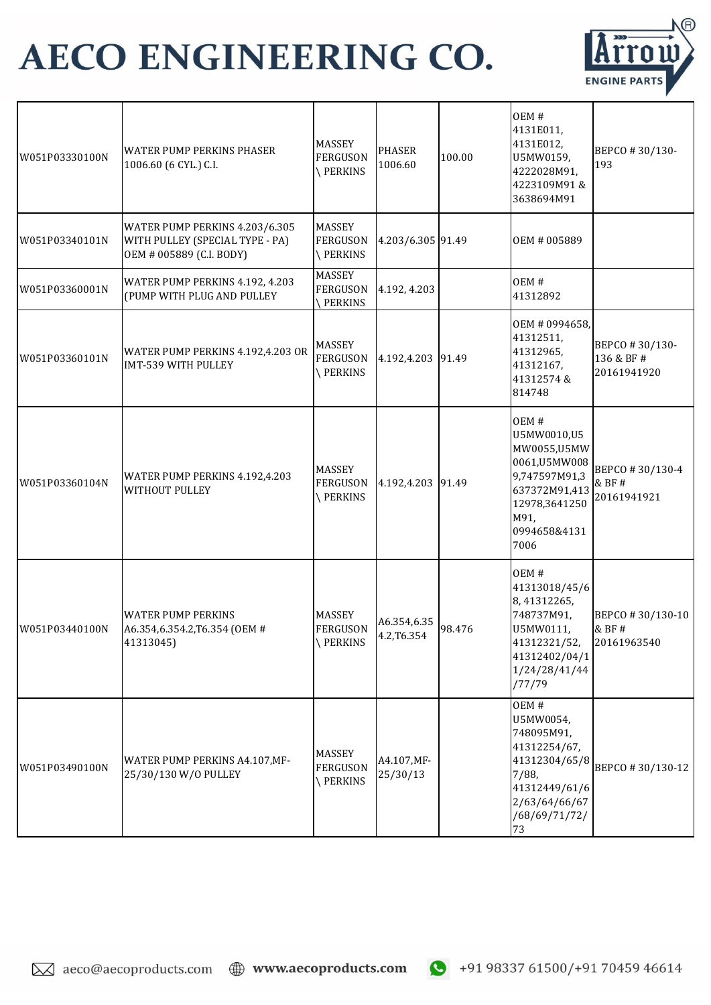

| W051P03330100N | <b>WATER PUMP PERKINS PHASER</b><br>1006.60 (6 CYL.) C.I.                                     | MASSEY<br><b>FERGUSON</b><br><b>PERKINS</b>         | <b>PHASER</b><br>1006.60   | 100.00 | OEM#<br>4131E011,<br>4131E012,<br>U5MW0159,<br>4222028M91,<br>4223109M91&<br>3638694M91                                               | BEPCO #30/130-<br>193                       |
|----------------|-----------------------------------------------------------------------------------------------|-----------------------------------------------------|----------------------------|--------|---------------------------------------------------------------------------------------------------------------------------------------|---------------------------------------------|
| W051P03340101N | WATER PUMP PERKINS 4.203/6.305<br>WITH PULLEY (SPECIAL TYPE - PA)<br>OEM # 005889 (C.I. BODY) | <b>MASSEY</b><br><b>FERGUSON</b><br>PERKINS         | 4.203/6.305 91.49          |        | OEM # 005889                                                                                                                          |                                             |
| W051P03360001N | WATER PUMP PERKINS 4.192, 4.203<br>(PUMP WITH PLUG AND PULLEY                                 | MASSEY<br><b>FERGUSON</b><br>PERKINS                | 4.192, 4.203               |        | OEM#<br>41312892                                                                                                                      |                                             |
| W051P03360101N | WATER PUMP PERKINS 4.192,4.203 OR<br>IMT-539 WITH PULLEY                                      | <b>MASSEY</b><br><b>FERGUSON</b><br><b>\PERKINS</b> | 4.192,4.203                | 91.49  | OEM # 0994658,<br>41312511,<br>41312965,<br>41312167,<br>41312574 &<br>814748                                                         | BEPCO #30/130-<br>136 & BF #<br>20161941920 |
| W051P03360104N | WATER PUMP PERKINS 4.192,4.203<br><b>WITHOUT PULLEY</b>                                       | <b>MASSEY</b><br><b>FERGUSON</b><br>PERKINS         | 4.192,4.203                | 91.49  | OEM#<br>U5MW0010,U5<br>MW0055,U5MW<br>0061,U5MW008<br>9,747597M91,3<br>637372M91,413<br>12978,3641250<br>M91,<br>0994658&4131<br>7006 | BEPCO #30/130-4<br>& BF #<br>20161941921    |
| W051P03440100N | <b>WATER PUMP PERKINS</b><br>A6.354,6.354.2, T6.354 (OEM #<br>41313045)                       | MASSEY<br><b>FERGUSON</b><br>PERKINS                | A6.354,6.35<br>4.2, T6.354 | 98.476 | OEM#<br>41313018/45/6<br>8,41312265,<br>748737M91,<br>U5MW0111,<br>41312321/52,<br>41312402/04/1<br>1/24/28/41/44<br>/77/79           | BEPCO #30/130-10<br>& BF#<br>20161963540    |
| W051P03490100N | WATER PUMP PERKINS A4.107, MF-<br>25/30/130 W/O PULLEY                                        | <b>MASSEY</b><br><b>FERGUSON</b><br>\PERKINS        | A4.107, MF-<br>25/30/13    |        | OEM#<br>U5MW0054,<br>748095M91,<br>41312254/67,<br>41312304/65/8<br>7/88,<br>41312449/61/6<br>2/63/64/66/67<br>/68/69/71/72/<br>73    | BEPCO #30/130-12                            |

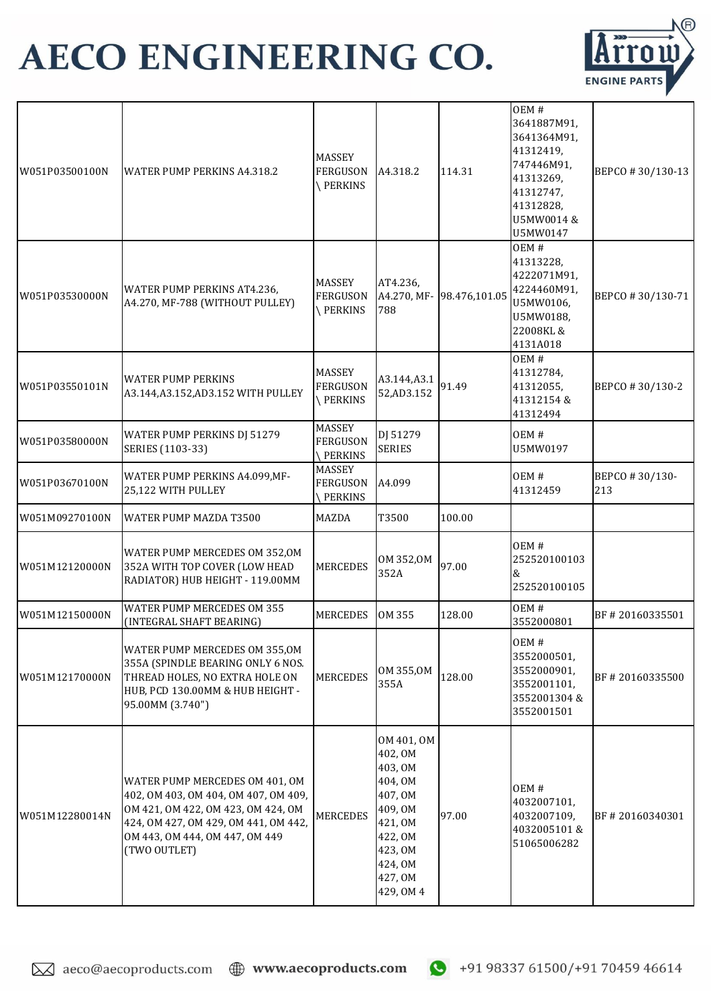

| W051P03500100N | WATER PUMP PERKINS A4.318.2                                                                                                                                                                            | <b>MASSEY</b><br><b>FERGUSON</b><br>PERKINS | A4.318.2                                                                                                                              | 114.31        | OEM#<br>3641887M91,<br>3641364M91,<br>41312419,<br>747446M91,<br>41313269,<br>41312747,<br>41312828,<br>U5MW0014 &<br>U5MW0147 | BEPCO #30/130-13      |
|----------------|--------------------------------------------------------------------------------------------------------------------------------------------------------------------------------------------------------|---------------------------------------------|---------------------------------------------------------------------------------------------------------------------------------------|---------------|--------------------------------------------------------------------------------------------------------------------------------|-----------------------|
| W051P03530000N | WATER PUMP PERKINS AT4.236,<br>A4.270, MF-788 (WITHOUT PULLEY)                                                                                                                                         | MASSEY<br><b>FERGUSON</b><br>PERKINS        | AT4.236,<br>A4.270, MF-<br>788                                                                                                        | 98.476,101.05 | OEM#<br>41313228,<br>4222071M91,<br>4224460M91,<br>U5MW0106,<br>U5MW0188,<br>22008KL &<br>4131A018                             | BEPCO #30/130-71      |
| W051P03550101N | <b>WATER PUMP PERKINS</b><br>A3.144, A3.152, AD3.152 WITH PULLEY                                                                                                                                       | MASSEY<br><b>FERGUSON</b><br>PERKINS        | A3.144, A3.1<br>52, AD 3.152                                                                                                          | 91.49         | OEM#<br>41312784,<br>41312055,<br>41312154 &<br>41312494                                                                       | BEPCO #30/130-2       |
| W051P03580000N | WATER PUMP PERKINS DJ 51279<br>SERIES (1103-33)                                                                                                                                                        | MASSEY<br><b>FERGUSON</b><br><b>PERKINS</b> | DJ 51279<br><b>SERIES</b>                                                                                                             |               | OEM#<br>U5MW0197                                                                                                               |                       |
| W051P03670100N | WATER PUMP PERKINS A4.099, MF-<br>25,122 WITH PULLEY                                                                                                                                                   | <b>MASSEY</b><br><b>FERGUSON</b><br>PERKINS | A4.099                                                                                                                                |               | OEM#<br>41312459                                                                                                               | BEPCO #30/130-<br>213 |
| W051M09270100N | WATER PUMP MAZDA T3500                                                                                                                                                                                 | <b>MAZDA</b>                                | T3500                                                                                                                                 | 100.00        |                                                                                                                                |                       |
| W051M12120000N | WATER PUMP MERCEDES OM 352,0M<br>352A WITH TOP COVER (LOW HEAD<br>RADIATOR) HUB HEIGHT - 119.00MM                                                                                                      | <b>MERCEDES</b>                             | OM 352,0M<br>352A                                                                                                                     | 97.00         | OEM#<br>252520100103<br>&<br>252520100105                                                                                      |                       |
| W051M12150000N | <b>WATER PUMP MERCEDES OM 355</b><br>(INTEGRAL SHAFT BEARING)                                                                                                                                          | <b>MERCEDES</b>                             | OM 355                                                                                                                                | 128.00        | OEM#<br>3552000801                                                                                                             | BF #20160335501       |
| W051M12170000N | WATER PUMP MERCEDES OM 355,0M<br>355A (SPINDLE BEARING ONLY 6 NOS.<br>THREAD HOLES, NO EXTRA HOLE ON<br>HUB, PCD 130.00MM & HUB HEIGHT -<br>95.00MM (3.740")                                           | <b>MERCEDES</b>                             | OM 355,0M<br>355A                                                                                                                     | 128.00        | OEM#<br>3552000501,<br>3552000901,<br>3552001101,<br>3552001304&<br>3552001501                                                 | BF #20160335500       |
| W051M12280014N | WATER PUMP MERCEDES OM 401, OM<br>402, OM 403, OM 404, OM 407, OM 409,<br>OM 421, OM 422, OM 423, OM 424, OM<br>424, OM 427, OM 429, OM 441, OM 442,<br>OM 443, OM 444, OM 447, OM 449<br>(TWO OUTLET) | MERCEDES                                    | OM 401, OM<br>402, OM<br>403, OM<br>404, OM<br>407, OM<br>409, OM<br>421, OM<br>422, OM<br>423, OM<br>424, OM<br>427, OM<br>429, OM 4 | 97.00         | OEM#<br>4032007101,<br>4032007109,<br>4032005101&<br>51065006282                                                               | BF#20160340301        |

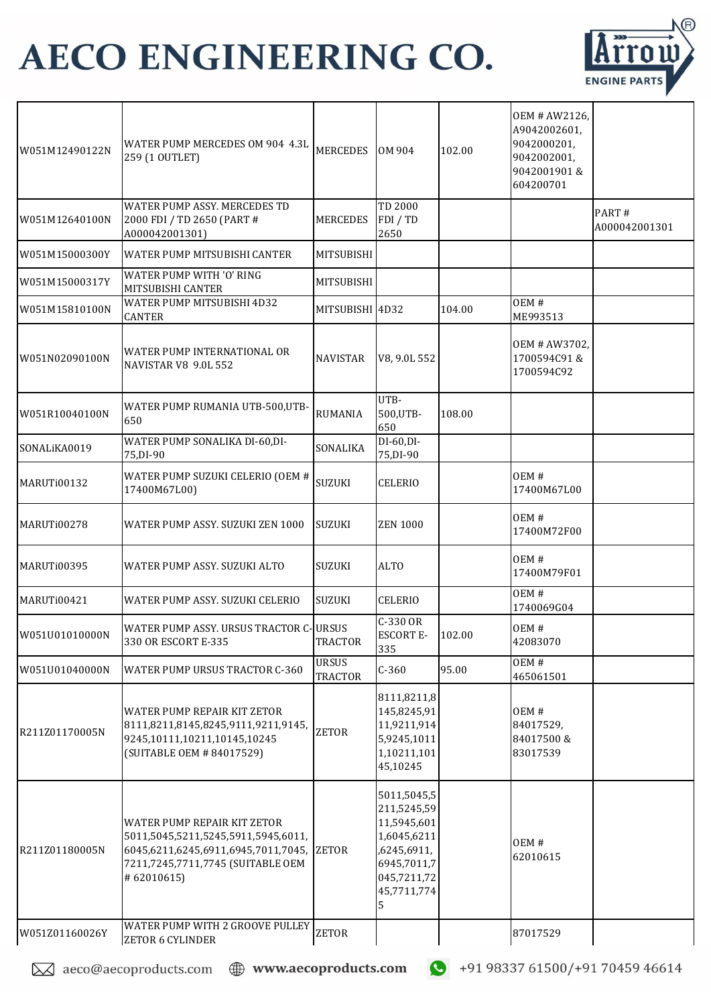

| W051M12490122N | WATER PUMP MERCEDES OM 904 4.3L<br>259 (1 OUTLET)                                                                                                                   | <b>MERCEDES</b>                | OM 904                                                                                                                    | 102.00 | OEM # AW2126,<br>A9042002601,<br>9042000201,<br>9042002001,<br>9042001901&<br>604200701 |                        |
|----------------|---------------------------------------------------------------------------------------------------------------------------------------------------------------------|--------------------------------|---------------------------------------------------------------------------------------------------------------------------|--------|-----------------------------------------------------------------------------------------|------------------------|
| W051M12640100N | WATER PUMP ASSY. MERCEDES TD<br>2000 FDI / TD 2650 (PART #<br>A000042001301)                                                                                        | <b>MERCEDES</b>                | TD 2000<br>FDI / TD<br>2650                                                                                               |        |                                                                                         | PART#<br>A000042001301 |
| W051M15000300Y | WATER PUMP MITSUBISHI CANTER                                                                                                                                        | <b>MITSUBISHI</b>              |                                                                                                                           |        |                                                                                         |                        |
| W051M15000317Y | <b>WATER PUMP WITH 'O' RING</b><br>MITSUBISHI CANTER                                                                                                                | <b>MITSUBISHI</b>              |                                                                                                                           |        |                                                                                         |                        |
| W051M15810100N | WATER PUMP MITSUBISHI 4D32<br><b>CANTER</b>                                                                                                                         | MITSUBISHI 4D32                |                                                                                                                           | 104.00 | OEM#<br>ME993513                                                                        |                        |
| W051N02090100N | WATER PUMP INTERNATIONAL OR<br><b>NAVISTAR V8 9.0L 552</b>                                                                                                          | <b>NAVISTAR</b>                | V8, 9.0L 552                                                                                                              |        | OEM # AW3702,<br>1700594C91&<br>1700594C92                                              |                        |
| W051R10040100N | WATER PUMP RUMANIA UTB-500,UTB-<br>650                                                                                                                              | <b>RUMANIA</b>                 | UTB-<br>500, UTB-<br>650                                                                                                  | 108.00 |                                                                                         |                        |
| SONALiKA0019   | WATER PUMP SONALIKA DI-60, DI-<br>75, DI-90                                                                                                                         | SONALIKA                       | DI-60,DI-<br>75, DI-90                                                                                                    |        |                                                                                         |                        |
| MARUTi00132    | WATER PUMP SUZUKI CELERIO (OEM #<br>17400M67L00)                                                                                                                    | SUZUKI                         | <b>CELERIO</b>                                                                                                            |        | OEM#<br>17400M67L00                                                                     |                        |
| MARUTi00278    | WATER PUMP ASSY. SUZUKI ZEN 1000                                                                                                                                    | SUZUKI                         | <b>ZEN 1000</b>                                                                                                           |        | OEM#<br>17400M72F00                                                                     |                        |
| MARUTi00395    | WATER PUMP ASSY, SUZUKI ALTO                                                                                                                                        | <b>SUZUKI</b>                  | <b>ALTO</b>                                                                                                               |        | OEM#<br>17400M79F01                                                                     |                        |
| MARUTi00421    | WATER PUMP ASSY, SUZUKI CELERIO                                                                                                                                     | SUZUKI                         | <b>CELERIO</b>                                                                                                            |        | OEM#<br>1740069G04                                                                      |                        |
| W051U01010000N | WATER PUMP ASSY. URSUS TRACTOR C-URSUS<br>330 OR ESCORT E-335                                                                                                       | <b>TRACTOR</b>                 | C-330 OR<br><b>ESCORT E-</b><br>335                                                                                       | 102.00 | OEM#<br>42083070                                                                        |                        |
| W051U01040000N | <b>WATER PUMP URSUS TRACTOR C-360</b>                                                                                                                               | <b>URSUS</b><br><b>TRACTOR</b> | $C-360$                                                                                                                   | 95.00  | OEM#<br>465061501                                                                       |                        |
| R211Z01170005N | <b>WATER PUMP REPAIR KIT ZETOR</b><br>8111,8211,8145,8245,9111,9211,9145,<br>9245,10111,10211,10145,10245<br>(SUITABLE OEM #84017529)                               | <b>ZETOR</b>                   | 8111,8211,8<br>145,8245,91<br>11,9211,914<br>5,9245,1011<br>1,10211,101<br>45,10245                                       |        | OEM#<br>84017529,<br>84017500&<br>83017539                                              |                        |
| R211Z01180005N | <b>WATER PUMP REPAIR KIT ZETOR</b><br>5011,5045,5211,5245,5911,5945,6011,<br>6045,6211,6245,6911,6945,7011,7045,<br>7211,7245,7711,7745 (SUITABLE OEM<br>#62010615) | <b>ZETOR</b>                   | 5011,5045,5<br>211,5245,59<br>11,5945,601<br>1,6045,6211<br>,6245,6911,<br>6945,7011,7<br>045,7211,72<br>45,7711,774<br>5 |        | OEM#<br>62010615                                                                        |                        |
| W051Z01160026Y | WATER PUMP WITH 2 GROOVE PULLEY<br><b>ZETOR 6 CYLINDER</b>                                                                                                          | <b>ZETOR</b>                   |                                                                                                                           |        | 87017529                                                                                |                        |